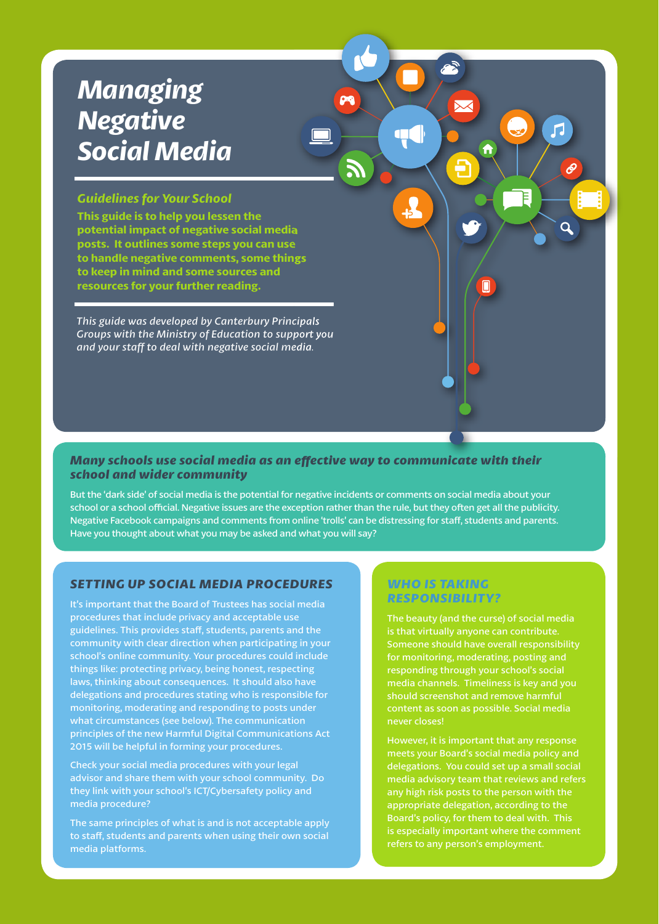# *Managing Negative Social Media*

# *Guidelines for Your School*

**This guide is to help you lessen the potential impact of negative social media posts. It outlines some steps you can use to handle negative comments, some things to keep in mind and some sources and resources for your further reading.**

*This guide was developed by Canterbury Principals Groups with the Ministry of Education to support you and your staff to deal with negative social media.*

# *Many schools use social media as an eff ective way to communicate with their school and wider community*

But the 'dark side' of social media is the potential for negative incidents or comments on social media about your school or a school official. Negative issues are the exception rather than the rule, but they often get all the publicity. Negative Facebook campaigns and comments from online 'trolls' can be distressing for staff, students and parents. Have you thought about what you may be asked and what you will say?

DA

 $\overline{\mathbf{\times}}$ 

Ħ

Œ

 $\frac{1}{2}$ 

Л

F

# *SETTING UP SOCIAL MEDIA PROCEDURES*

It's important that the Board of Trustees has social media procedures that include privacy and acceptable use guidelines. This provides staff, students, parents and the community with clear direction when participating in your school's online community. Your procedures could include things like: protecting privacy, being honest, respecting laws, thinking about consequences. It should also have delegations and procedures stating who is responsible for monitoring, moderating and responding to posts under what circumstances (see below). The communication principles of the new Harmful Digital Communications Act 2015 will be helpful in forming your procedures.

Check your social media procedures with your legal advisor and share them with your school community. Do they link with your school's ICT/Cybersafety policy and media procedure?

The same principles of what is and is not acceptable apply to staff, students and parents when using their own social media platforms.

# *WHO IS TAKING RESPONSIBILITY?*

The beauty (and the curse) of social media is that virtually anyone can contribute. Someone should have overall responsibility for monitoring, moderating, posting and responding through your school's social media channels. Timeliness is key and you never closes!

However, it is important that any response meets your Board's social media policy and delegations. You could set up a small social media advisory team that reviews and refers any high risk posts to the person with the appropriate delegation, according to the Board's policy, for them to deal with. This refers to any person's employment.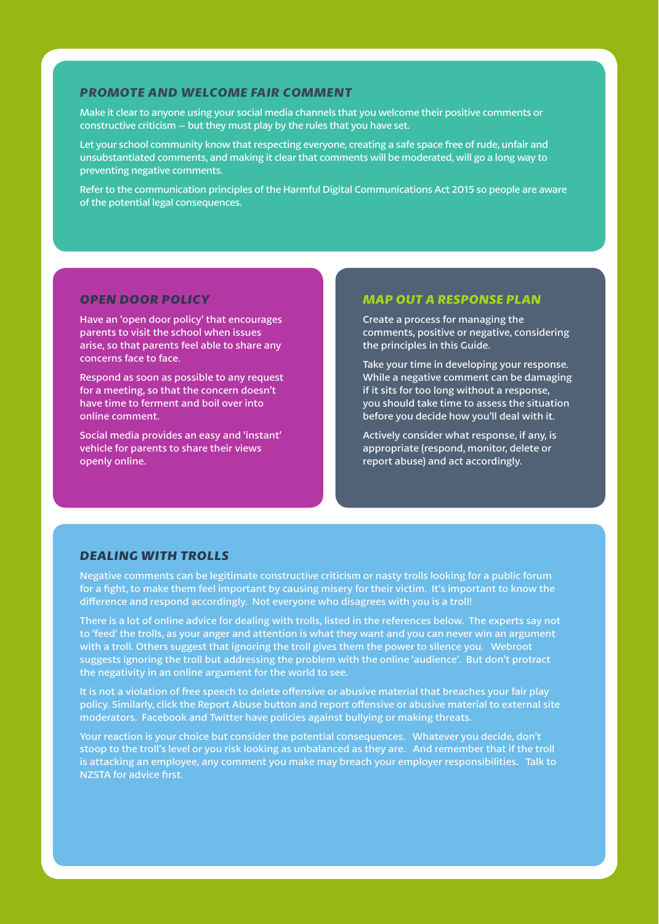## *PROMOTE AND WELCOME FAIR COMMENT*

Make it clear to anyone using your social media channels that you welcome their positive comments or constructive criticism – but they must play by the rules that you have set.

Let your school community know that respecting everyone, creating a safe space free of rude, unfair and unsubstantiated comments, and making it clear that comments will be moderated, will go a long way to preventing negative comments.

Refer to the communication principles of the Harmful Digital Communications Act 2015 so people are aware of the potential legal consequences.

## *OPEN DOOR POLICY*

Have an 'open door policy' that encourages parents to visit the school when issues arise, so that parents feel able to share any concerns face to face.

Respond as soon as possible to any request for a meeting, so that the concern doesn't have time to ferment and boil over into online comment.

Social media provides an easy and 'instant' vehicle for parents to share their views openly online.

## *MAP OUT A RESPONSE PLAN*

Create a process for managing the comments, positive or negative, considering the principles in this Guide.

Take your time in developing your response. While a negative comment can be damaging if it sits for too long without a response, you should take time to assess the situation before you decide how you'll deal with it.

Actively consider what response, if any, is appropriate (respond, monitor, delete or report abuse) and act accordingly.

# *DEALING WITH TROLLS*

Negative comments can be legitimate constructive criticism or nasty trolls looking for a public forum for a fight, to make them feel important by causing misery for their victim. It's important to know the difference and respond accordingly. Not everyone who disagrees with you is a troll!

There is a lot of online advice for dealing with trolls, listed in the references below. The experts say not to 'feed' the trolls, as your anger and attention is what they want and you can never win an argument with a troll. Others suggest that ignoring the troll gives them the power to silence you. Webroot suggests ignoring the troll but addressing the problem with the online 'audience'. But don't protract the negativity in an online argument for the world to see.

It is not a violation of free speech to delete offensive or abusive material that breaches your fair play policy. Similarly, click the Report Abuse button and report offensive or abusive material to external site moderators. Facebook and Twitter have policies against bullying or making threats.

Your reaction is your choice but consider the potential consequences. Whatever you decide, don't stoop to the troll's level or you risk looking as unbalanced as they are. And remember that if the troll is attacking an employee, any comment you make may breach your employer responsibilities. Talk to NZSTA for advice first.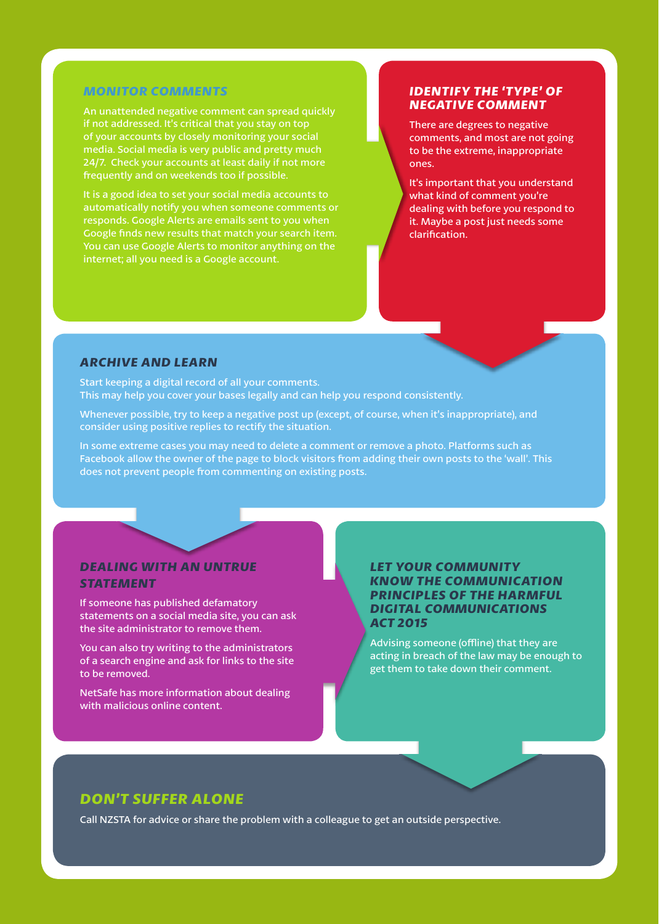## *MONITOR COMMENTS*

An unattended negative comment can spread quickly if not addressed. It's critical that you stay on top of your accounts by closely monitoring your social media. Social media is very public and pretty much 24/7. Check your accounts at least daily if not more frequently and on weekends too if possible.

It is a good idea to set your social media accounts to automatically notify you when someone comments or responds. Google Alerts are emails sent to you when Google finds new results that match your search item. You can use Google Alerts to monitor anything on the internet; all you need is a Google account.

# *IDENTIFY THE 'TYPE' OF NEGATIVE COMMENT*

There are degrees to negative comments, and most are not going to be the extreme, inappropriate ones.

It's important that you understand what kind of comment you're dealing with before you respond to it. Maybe a post just needs some clarification.

# *ARCHIVE AND LEARN*

Start keeping a digital record of all your comments. This may help you cover your bases legally and can help you respond consistently.

Whenever possible, try to keep a negative post up (except, of course, when it's inappropriate), and consider using positive replies to rectify the situation.

In some extreme cases you may need to delete a comment or remove a photo. Platforms such as Facebook allow the owner of the page to block visitors from adding their own posts to the 'wall'. This does not prevent people from commenting on existing posts.

# *DEALING WITH AN UNTRUE STATEMENT*

If someone has published defamatory statements on a social media site, you can ask the site administrator to remove them.

You can also try writing to the administrators of a search engine and ask for links to the site to be removed.

NetSafe has more information about dealing with malicious online content.

# *LET YOUR COMMUNITY KNOW THE COMMUNICATION PRINCIPLES OF THE HARMFUL DIGITAL COMMUNICATIONS ACT 2015*

Advising someone (offline) that they are acting in breach of the law may be enough to get them to take down their comment.

# *DON'T SUFFER ALONE*

Call NZSTA for advice or share the problem with a colleague to get an outside perspective.